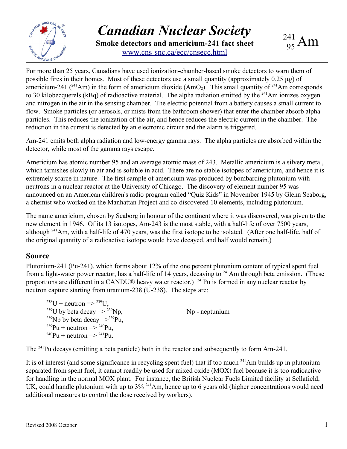

*Canadian Nuclear Society* **Smoke detectors and americium-241 fact sheet** [www.cns-snc.ca/ecc/cnsecc.html](http://www.cns-snc.ca/ecc/cnsecc.html)

For more than 25 years, Canadians have used ionization-chamber-based smoke detectors to warn them of possible fires in their homes. Most of these detectors use a small quantity (approximately 0.25 µg) of americium-241 ( $^{241}$ Am) in the form of americium dioxide (AmO<sub>2</sub>). This small quantity of  $^{241}$ Am corresponds to 30 kilobecquerels (kBq) of radioactive material. The alpha radiation emitted by the  $^{241}$ Am ionizes oxygen and nitrogen in the air in the sensing chamber. The electric potential from a battery causes a small current to flow. Smoke particles (or aerosols, or mists from the bathroom shower) that enter the chamber absorb alpha particles. This reduces the ionization of the air, and hence reduces the electric current in the chamber. The reduction in the current is detected by an electronic circuit and the alarm is triggered.

Am-241 emits both alpha radiation and low-energy gamma rays. The alpha particles are absorbed within the detector, while most of the gamma rays escape.

Americium has atomic number 95 and an average atomic mass of 243. Metallic americium is a silvery metal, which tarnishes slowly in air and is soluble in acid. There are no stable isotopes of americium, and hence it is extremely scarce in nature. The first sample of americium was produced by bombarding plutonium with neutrons in a nuclear reactor at the University of Chicago. The discovery of element number 95 was announced on an American children's radio program called "Quiz Kids" in November 1945 by Glenn Seaborg, a chemist who worked on the Manhattan Project and co-discovered 10 elements, including plutonium.

The name americium, chosen by Seaborg in honour of the continent where it was discovered, was given to the new element in 1946. Of its 13 isotopes, Am-243 is the most stable, with a half-life of over 7500 years, although <sup>241</sup>Am, with a half-life of 470 years, was the first isotope to be isolated. (After one half-life, half of the original quantity of a radioactive isotope would have decayed, and half would remain.)

### **Source**

Plutonium-241 (Pu-241), which forms about 12% of the one percent plutonium content of typical spent fuel from a light-water power reactor, has a half-life of 14 years, decaying to <sup>241</sup>Am through beta emission. (These proportions are different in a CANDU® heavy water reactor.) <sup>241</sup>Pu is formed in any nuclear reactor by neutron capture starting from uranium-238 (U-238). The steps are:

 $^{238}U$  + neutron =>  $^{239}U$ , <sup>239</sup>U by beta decay  $\Rightarrow$  <sup>239</sup>Np, <sup>239</sup>Np by beta decay  $\approx$  <sup>239</sup>Pu,  $^{239}Pu + neutron \implies ^{240}Pu,$  $^{240}Pu + neutron \implies ^{241}Pu.$ 

Np - neptunium

The <sup>241</sup>Pu decays (emitting a beta particle) both in the reactor and subsequently to form Am-241.

It is of interest (and some significance in recycling spent fuel) that if too much <sup>241</sup>Am builds up in plutonium separated from spent fuel, it cannot readily be used for mixed oxide (MOX) fuel because it is too radioactive for handling in the normal MOX plant. For instance, the British Nuclear Fuels Limited facility at Sellafield, UK, could handle plutonium with up to 3% <sup>241</sup>Am, hence up to 6 years old (higher concentrations would need additional measures to control the dose received by workers).